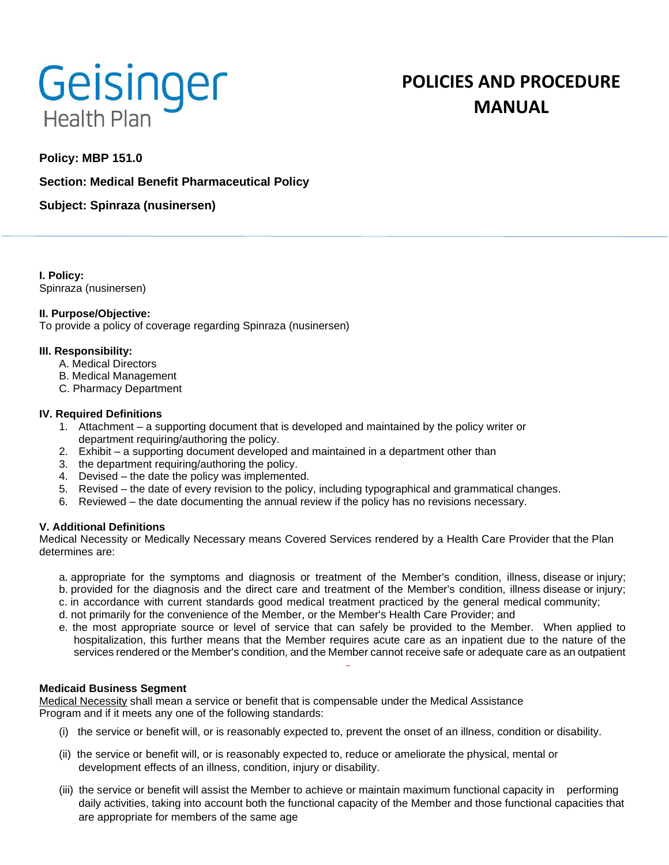

# **POLICIES AND PROCEDURE MANUAL**

# **Policy: MBP 151.0**

## **Section: Medical Benefit Pharmaceutical Policy**

**Subject: Spinraza (nusinersen)**

**I. Policy:** Spinraza (nusinersen)

## **II. Purpose/Objective:**

To provide a policy of coverage regarding Spinraza (nusinersen)

## **III. Responsibility:**

- A. Medical Directors
- B. Medical Management
- C. Pharmacy Department

## **IV. Required Definitions**

- 1. Attachment a supporting document that is developed and maintained by the policy writer or department requiring/authoring the policy.
- 2. Exhibit a supporting document developed and maintained in a department other than
- 3. the department requiring/authoring the policy.
- 4. Devised the date the policy was implemented.
- 5. Revised the date of every revision to the policy, including typographical and grammatical changes.
- 6. Reviewed the date documenting the annual review if the policy has no revisions necessary.

## **V. Additional Definitions**

Medical Necessity or Medically Necessary means Covered Services rendered by a Health Care Provider that the Plan determines are:

- a. appropriate for the symptoms and diagnosis or treatment of the Member's condition, illness, disease or injury;
- b. provided for the diagnosis and the direct care and treatment of the Member's condition, illness disease or injury;
- c. in accordance with current standards good medical treatment practiced by the general medical community;
- d. not primarily for the convenience of the Member, or the Member's Health Care Provider; and
- e. the most appropriate source or level of service that can safely be provided to the Member. When applied to hospitalization, this further means that the Member requires acute care as an inpatient due to the nature of the services rendered or the Member's condition, and the Member cannot receive safe or adequate care as an outpatient

## **Medicaid Business Segment**

Medical Necessity shall mean a service or benefit that is compensable under the Medical Assistance Program and if it meets any one of the following standards:

- (i) the service or benefit will, or is reasonably expected to, prevent the onset of an illness, condition or disability.
- (ii) the service or benefit will, or is reasonably expected to, reduce or ameliorate the physical, mental or development effects of an illness, condition, injury or disability.
- (iii) the service or benefit will assist the Member to achieve or maintain maximum functional capacity in performing daily activities, taking into account both the functional capacity of the Member and those functional capacities that are appropriate for members of the same age